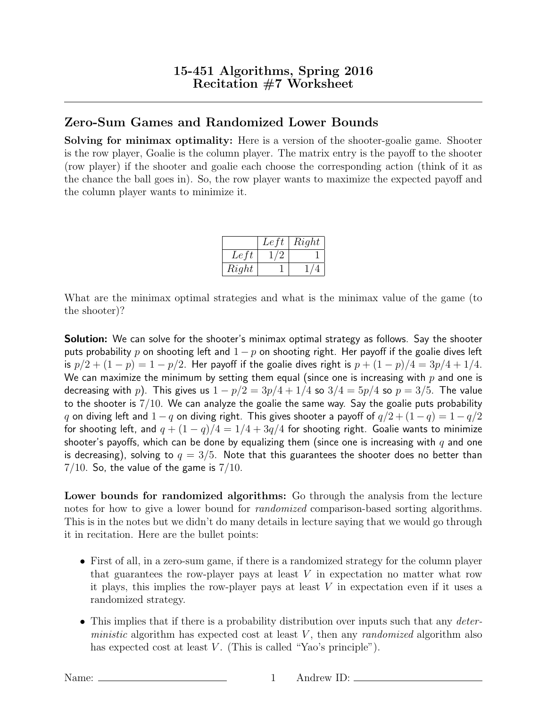## Zero-Sum Games and Randomized Lower Bounds

Solving for minimax optimality: Here is a version of the shooter-goalie game. Shooter is the row player, Goalie is the column player. The matrix entry is the payoff to the shooter (row player) if the shooter and goalie each choose the corresponding action (think of it as the chance the ball goes in). So, the row player wants to maximize the expected payoff and the column player wants to minimize it.

|       | Let | Right |
|-------|-----|-------|
| Left  |     |       |
| Right |     |       |

What are the minimax optimal strategies and what is the minimax value of the game (to the shooter)?

**Solution:** We can solve for the shooter's minimax optimal strategy as follows. Say the shooter puts probability p on shooting left and  $1 - p$  on shooting right. Her payoff if the goalie dives left is  $p/2 + (1-p) = 1 - p/2$ . Her payoff if the goalie dives right is  $p + (1-p)/4 = 3p/4 + 1/4$ . We can maximize the minimum by setting them equal (since one is increasing with  $p$  and one is decreasing with p). This gives us  $1 - p/2 = 3p/4 + 1/4$  so  $3/4 = 5p/4$  so  $p = 3/5$ . The value to the shooter is  $7/10$ . We can analyze the goalie the same way. Say the goalie puts probability q on diving left and  $1 - q$  on diving right. This gives shooter a payoff of  $q/2 + (1 - q) = 1 - q/2$ for shooting left, and  $q + (1 - q)/4 = 1/4 + 3q/4$  for shooting right. Goalie wants to minimize shooter's payoffs, which can be done by equalizing them (since one is increasing with  $q$  and one is decreasing), solving to  $q = 3/5$ . Note that this guarantees the shooter does no better than  $7/10$ . So, the value of the game is  $7/10$ .

Lower bounds for randomized algorithms: Go through the analysis from the lecture notes for how to give a lower bound for *randomized* comparison-based sorting algorithms. This is in the notes but we didn't do many details in lecture saying that we would go through it in recitation. Here are the bullet points:

- First of all, in a zero-sum game, if there is a randomized strategy for the column player that guarantees the row-player pays at least V in expectation no matter what row it plays, this implies the row-player pays at least  $V$  in expectation even if it uses a randomized strategy.
- This implies that if there is a probability distribution over inputs such that any *deter*ministic algorithm has expected cost at least  $V$ , then any *randomized* algorithm also has expected cost at least  $V$ . (This is called "Yao's principle").